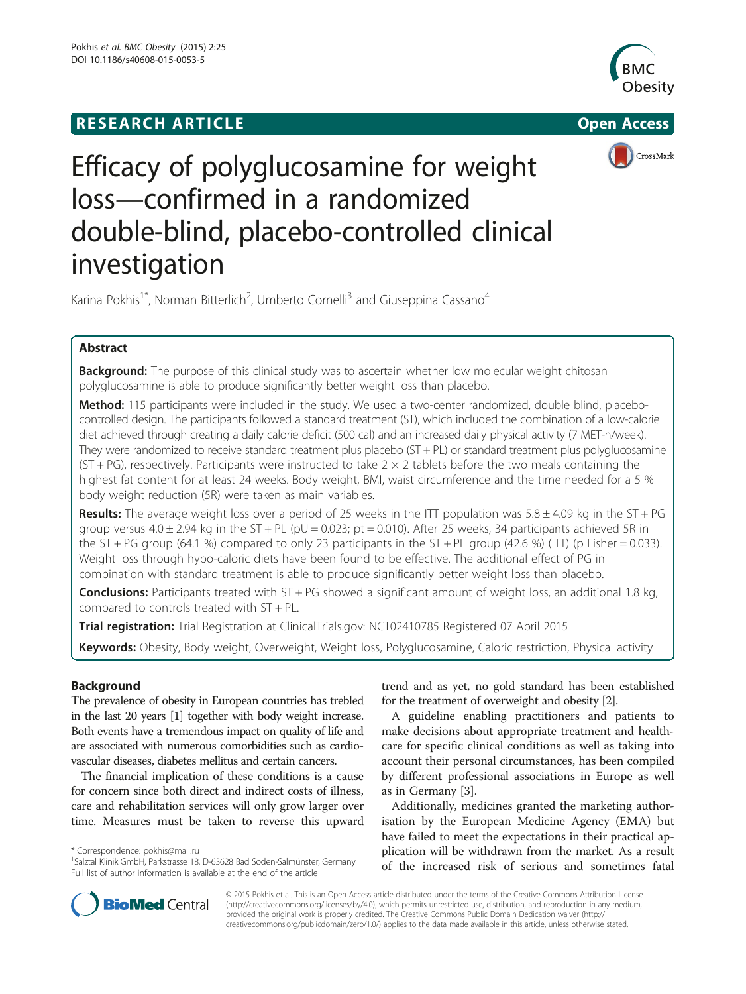# **RESEARCH ARTICLE Example 2014 12:30 The SEAR CH ACCESS**







# Efficacy of polyglucosamine for weight loss—confirmed in a randomized double-blind, placebo-controlled clinical investigation

Karina Pokhis<sup>1\*</sup>, Norman Bitterlich<sup>2</sup>, Umberto Cornelli<sup>3</sup> and Giuseppina Cassano<sup>4</sup>

# Abstract

**Background:** The purpose of this clinical study was to ascertain whether low molecular weight chitosan polyglucosamine is able to produce significantly better weight loss than placebo.

Method: 115 participants were included in the study. We used a two-center randomized, double blind, placebocontrolled design. The participants followed a standard treatment (ST), which included the combination of a low-calorie diet achieved through creating a daily calorie deficit (500 cal) and an increased daily physical activity (7 MET-h/week). They were randomized to receive standard treatment plus placebo (ST + PL) or standard treatment plus polyglucosamine (ST + PG), respectively. Participants were instructed to take  $2 \times 2$  tablets before the two meals containing the highest fat content for at least 24 weeks. Body weight, BMI, waist circumference and the time needed for a 5 % body weight reduction (5R) were taken as main variables.

Results: The average weight loss over a period of 25 weeks in the ITT population was  $5.8 \pm 4.09$  kg in the ST + PG group versus  $4.0 \pm 2.94$  kg in the ST + PL (pU = 0.023; pt = 0.010). After 25 weeks, 34 participants achieved 5R in the ST + PG group (64.1 %) compared to only 23 participants in the ST + PL group (42.6 %) (ITT) (p Fisher = 0.033). Weight loss through hypo-caloric diets have been found to be effective. The additional effect of PG in combination with standard treatment is able to produce significantly better weight loss than placebo.

**Conclusions:** Participants treated with ST + PG showed a significant amount of weight loss, an additional 1.8 kg, compared to controls treated with ST + PL.

Trial registration: Trial Registration at ClinicalTrials.gov: [NCT02410785](https://www.clinicaltrial.gov/ct2/show/NCT02410785?term=l112&rank=1) Registered 07 April 2015

Keywords: Obesity, Body weight, Overweight, Weight loss, Polyglucosamine, Caloric restriction, Physical activity

# Background

The prevalence of obesity in European countries has trebled in the last 20 years [[1](#page-7-0)] together with body weight increase. Both events have a tremendous impact on quality of life and are associated with numerous comorbidities such as cardiovascular diseases, diabetes mellitus and certain cancers.

The financial implication of these conditions is a cause for concern since both direct and indirect costs of illness, care and rehabilitation services will only grow larger over time. Measures must be taken to reverse this upward

\* Correspondence: [pokhis@mail.ru](mailto:pokhis@mail.ru) <sup>1</sup>

trend and as yet, no gold standard has been established for the treatment of overweight and obesity [[2\]](#page-7-0).

A guideline enabling practitioners and patients to make decisions about appropriate treatment and healthcare for specific clinical conditions as well as taking into account their personal circumstances, has been compiled by different professional associations in Europe as well as in Germany [[3\]](#page-7-0).

Additionally, medicines granted the marketing authorisation by the European Medicine Agency (EMA) but have failed to meet the expectations in their practical application will be withdrawn from the market. As a result of the increased risk of serious and sometimes fatal



© 2015 Pokhis et al. This is an Open Access article distributed under the terms of the Creative Commons Attribution License [\(http://creativecommons.org/licenses/by/4.0\)](http://creativecommons.org/licenses/by/4.0), which permits unrestricted use, distribution, and reproduction in any medium, provided the original work is properly credited. The Creative Commons Public Domain Dedication waiver [\(http://](http://creativecommons.org/publicdomain/zero/1.0/) [creativecommons.org/publicdomain/zero/1.0/\)](http://creativecommons.org/publicdomain/zero/1.0/) applies to the data made available in this article, unless otherwise stated.

<sup>&</sup>lt;sup>1</sup>Salztal Klinik GmbH, Parkstrasse 18, D-63628 Bad Soden-Salmünster, Germany Full list of author information is available at the end of the article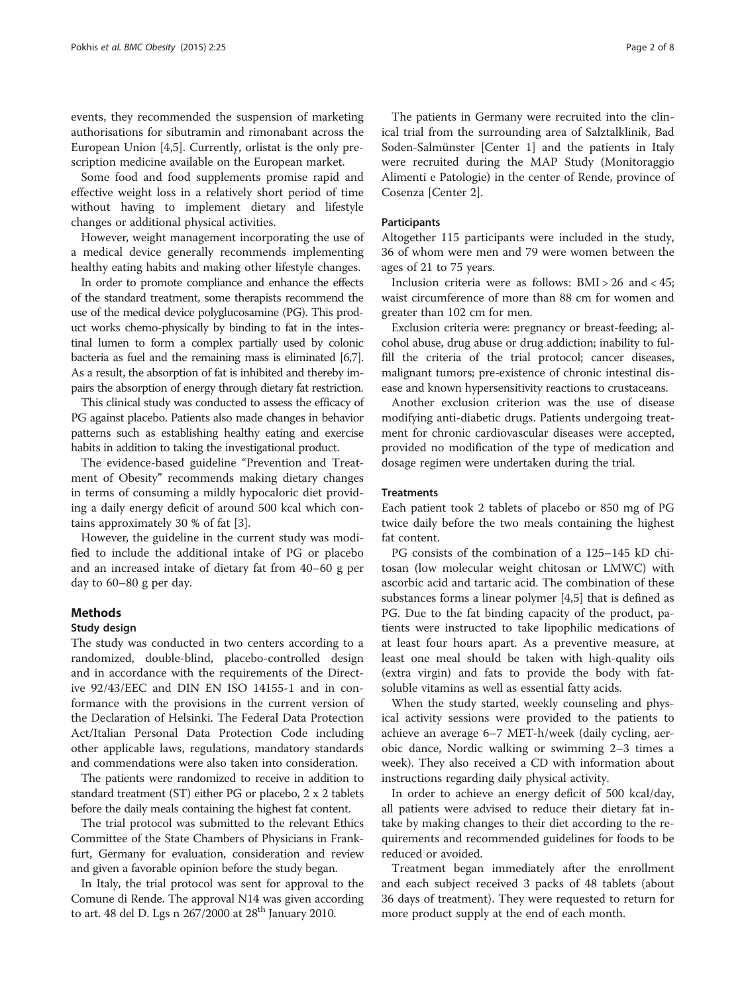events, they recommended the suspension of marketing authorisations for sibutramin and rimonabant across the European Union [[4,5\]](#page-7-0). Currently, orlistat is the only prescription medicine available on the European market.

Some food and food supplements promise rapid and effective weight loss in a relatively short period of time without having to implement dietary and lifestyle changes or additional physical activities.

However, weight management incorporating the use of a medical device generally recommends implementing healthy eating habits and making other lifestyle changes.

In order to promote compliance and enhance the effects of the standard treatment, some therapists recommend the use of the medical device polyglucosamine (PG). This product works chemo-physically by binding to fat in the intestinal lumen to form a complex partially used by colonic bacteria as fuel and the remaining mass is eliminated [\[6,7](#page-7-0)]. As a result, the absorption of fat is inhibited and thereby impairs the absorption of energy through dietary fat restriction.

This clinical study was conducted to assess the efficacy of PG against placebo. Patients also made changes in behavior patterns such as establishing healthy eating and exercise habits in addition to taking the investigational product.

The evidence-based guideline "Prevention and Treatment of Obesity" recommends making dietary changes in terms of consuming a mildly hypocaloric diet providing a daily energy deficit of around 500 kcal which contains approximately 30 % of fat [[3\]](#page-7-0).

However, the guideline in the current study was modified to include the additional intake of PG or placebo and an increased intake of dietary fat from 40–60 g per day to 60–80 g per day.

#### Methods

#### Study design

The study was conducted in two centers according to a randomized, double-blind, placebo-controlled design and in accordance with the requirements of the Directive 92/43/EEC and DIN EN ISO 14155-1 and in conformance with the provisions in the current version of the Declaration of Helsinki. The Federal Data Protection Act/Italian Personal Data Protection Code including other applicable laws, regulations, mandatory standards and commendations were also taken into consideration.

The patients were randomized to receive in addition to standard treatment (ST) either PG or placebo, 2 x 2 tablets before the daily meals containing the highest fat content.

The trial protocol was submitted to the relevant Ethics Committee of the State Chambers of Physicians in Frankfurt, Germany for evaluation, consideration and review and given a favorable opinion before the study began.

In Italy, the trial protocol was sent for approval to the Comune di Rende. The approval N14 was given according to art. 48 del D. Lgs n 267/2000 at 28<sup>th</sup> January 2010.

The patients in Germany were recruited into the clinical trial from the surrounding area of Salztalklinik, Bad Soden-Salmünster [Center 1] and the patients in Italy were recruited during the MAP Study (Monitoraggio Alimenti e Patologie) in the center of Rende, province of Cosenza [Center 2].

#### Participants

Altogether 115 participants were included in the study, 36 of whom were men and 79 were women between the ages of 21 to 75 years.

Inclusion criteria were as follows: BMI > 26 and < 45; waist circumference of more than 88 cm for women and greater than 102 cm for men.

Exclusion criteria were: pregnancy or breast-feeding; alcohol abuse, drug abuse or drug addiction; inability to fulfill the criteria of the trial protocol; cancer diseases, malignant tumors; pre-existence of chronic intestinal disease and known hypersensitivity reactions to crustaceans.

Another exclusion criterion was the use of disease modifying anti-diabetic drugs. Patients undergoing treatment for chronic cardiovascular diseases were accepted, provided no modification of the type of medication and dosage regimen were undertaken during the trial.

#### **Treatments**

Each patient took 2 tablets of placebo or 850 mg of PG twice daily before the two meals containing the highest fat content.

PG consists of the combination of a 125–145 kD chitosan (low molecular weight chitosan or LMWC) with ascorbic acid and tartaric acid. The combination of these substances forms a linear polymer [[4,5\]](#page-7-0) that is defined as PG. Due to the fat binding capacity of the product, patients were instructed to take lipophilic medications of at least four hours apart. As a preventive measure, at least one meal should be taken with high-quality oils (extra virgin) and fats to provide the body with fatsoluble vitamins as well as essential fatty acids.

When the study started, weekly counseling and physical activity sessions were provided to the patients to achieve an average 6–7 MET-h/week (daily cycling, aerobic dance, Nordic walking or swimming 2–3 times a week). They also received a CD with information about instructions regarding daily physical activity.

In order to achieve an energy deficit of 500 kcal/day, all patients were advised to reduce their dietary fat intake by making changes to their diet according to the requirements and recommended guidelines for foods to be reduced or avoided.

Treatment began immediately after the enrollment and each subject received 3 packs of 48 tablets (about 36 days of treatment). They were requested to return for more product supply at the end of each month.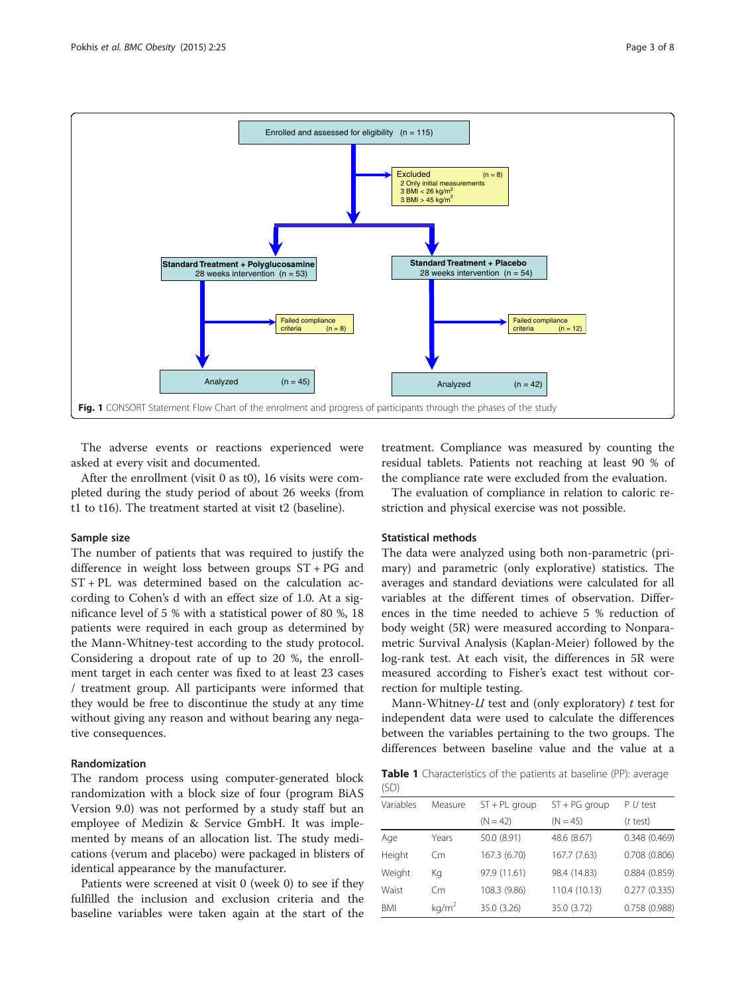<span id="page-2-0"></span>

The adverse events or reactions experienced were asked at every visit and documented.

After the enrollment (visit 0 as t0), 16 visits were completed during the study period of about 26 weeks (from t1 to t16). The treatment started at visit t2 (baseline).

# Sample size

The number of patients that was required to justify the difference in weight loss between groups ST + PG and ST + PL was determined based on the calculation according to Cohen's d with an effect size of 1.0. At a significance level of 5 % with a statistical power of 80 %, 18 patients were required in each group as determined by the Mann-Whitney-test according to the study protocol. Considering a dropout rate of up to 20 %, the enrollment target in each center was fixed to at least 23 cases / treatment group. All participants were informed that they would be free to discontinue the study at any time without giving any reason and without bearing any negative consequences.

#### Randomization

The random process using computer-generated block randomization with a block size of four (program BiAS Version 9.0) was not performed by a study staff but an employee of Medizin & Service GmbH. It was implemented by means of an allocation list. The study medications (verum and placebo) were packaged in blisters of identical appearance by the manufacturer.

Patients were screened at visit 0 (week 0) to see if they fulfilled the inclusion and exclusion criteria and the baseline variables were taken again at the start of the treatment. Compliance was measured by counting the residual tablets. Patients not reaching at least 90 % of the compliance rate were excluded from the evaluation.

The evaluation of compliance in relation to caloric restriction and physical exercise was not possible.

# Statistical methods

The data were analyzed using both non-parametric (primary) and parametric (only explorative) statistics. The averages and standard deviations were calculated for all variables at the different times of observation. Differences in the time needed to achieve 5 % reduction of body weight (5R) were measured according to Nonparametric Survival Analysis (Kaplan-Meier) followed by the log-rank test. At each visit, the differences in 5R were measured according to Fisher's exact test without correction for multiple testing.

Mann-Whitney- $U$  test and (only exploratory)  $t$  test for independent data were used to calculate the differences between the variables pertaining to the two groups. The differences between baseline value and the value at a

Table 1 Characteristics of the patients at baseline (PP): average  $(SD)$ 

| Variables  | Measure           | $ST + PL$ group | $ST + PG$ group | $P U$ test   |
|------------|-------------------|-----------------|-----------------|--------------|
|            |                   | $(N = 42)$      | $(N = 45)$      | $(t$ test)   |
| Age        | Years             | 50.0 (8.91)     | 48.6 (8.67)     | 0.348(0.469) |
| Height     | Cm                | 167.3 (6.70)    | 167.7 (7.63)    | 0.708(0.806) |
| Weight     | Кg                | 97.9 (11.61)    | 98.4 (14.83)    | 0.884(0.859) |
| Waist      | Cm                | 108.3 (9.86)    | 110.4 (10.13)   | 0.277(0.335) |
| <b>BMI</b> | kg/m <sup>2</sup> | 35.0 (3.26)     | 35.0 (3.72)     | 0.758(0.988) |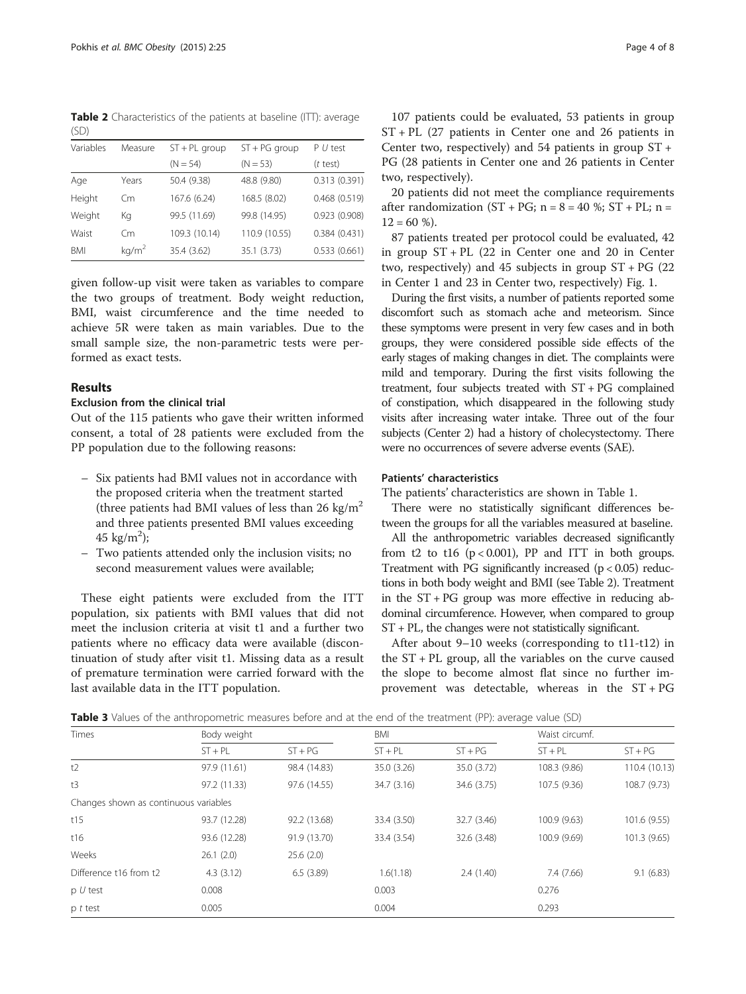<span id="page-3-0"></span>Table 2 Characteristics of the patients at baseline (ITT): average  $(SD)$ 

| Variables | Measure           | $ST + PL$ group | $ST + PG$ group | $P U$ test   |  |
|-----------|-------------------|-----------------|-----------------|--------------|--|
|           |                   | $(N = 54)$      | $(N = 53)$      | $(t$ test)   |  |
| Age       | Years             | 50.4 (9.38)     | 48.8 (9.80)     | 0.313(0.391) |  |
| Height    | Cm                | 167.6 (6.24)    | 168.5 (8.02)    | 0.468(0.519) |  |
| Weight    | Кg                | 99.5 (11.69)    | 99.8 (14.95)    | 0.923(0.908) |  |
| Waist     | Cm                | 109.3 (10.14)   | 110.9 (10.55)   | 0.384(0.431) |  |
| BMI       | kg/m <sup>2</sup> | 35.4 (3.62)     | 35.1 (3.73)     | 0.533(0.661) |  |

given follow-up visit were taken as variables to compare the two groups of treatment. Body weight reduction, BMI, waist circumference and the time needed to achieve 5R were taken as main variables. Due to the small sample size, the non-parametric tests were performed as exact tests.

#### Results

# Exclusion from the clinical trial

Out of the 115 patients who gave their written informed consent, a total of 28 patients were excluded from the PP population due to the following reasons:

- Six patients had BMI values not in accordance with the proposed criteria when the treatment started (three patients had BMI values of less than 26 kg/ $m^2$ and three patients presented BMI values exceeding 45 kg/m<sup>2</sup>);
- Two patients attended only the inclusion visits; no second measurement values were available;

These eight patients were excluded from the ITT population, six patients with BMI values that did not meet the inclusion criteria at visit t1 and a further two patients where no efficacy data were available (discontinuation of study after visit t1. Missing data as a result of premature termination were carried forward with the last available data in the ITT population.

107 patients could be evaluated, 53 patients in group ST + PL (27 patients in Center one and 26 patients in Center two, respectively) and 54 patients in group ST + PG (28 patients in Center one and 26 patients in Center two, respectively).

20 patients did not meet the compliance requirements after randomization  $(ST + PG; n = 8 = 40 %; ST + PL; n =$  $12 = 60$  %).

87 patients treated per protocol could be evaluated, 42 in group ST + PL (22 in Center one and 20 in Center two, respectively) and 45 subjects in group  $ST + PG$  (22) in Center 1 and 23 in Center two, respectively) Fig. [1.](#page-2-0)

During the first visits, a number of patients reported some discomfort such as stomach ache and meteorism. Since these symptoms were present in very few cases and in both groups, they were considered possible side effects of the early stages of making changes in diet. The complaints were mild and temporary. During the first visits following the treatment, four subjects treated with ST + PG complained of constipation, which disappeared in the following study visits after increasing water intake. Three out of the four subjects (Center 2) had a history of cholecystectomy. There were no occurrences of severe adverse events (SAE).

# Patients' characteristics

The patients' characteristics are shown in Table [1.](#page-2-0)

There were no statistically significant differences between the groups for all the variables measured at baseline.

All the anthropometric variables decreased significantly from t2 to t16  $(p < 0.001)$ , PP and ITT in both groups. Treatment with PG significantly increased  $(p < 0.05)$  reductions in both body weight and BMI (see Table 2). Treatment in the  $ST + PG$  group was more effective in reducing abdominal circumference. However, when compared to group ST + PL, the changes were not statistically significant.

After about 9–10 weeks (corresponding to t11-t12) in the ST + PL group, all the variables on the curve caused the slope to become almost flat since no further improvement was detectable, whereas in the ST + PG

| Table 3 Values of the anthropometric measures before and at the end of the treatment (PP): average value (SD) |  |  |
|---------------------------------------------------------------------------------------------------------------|--|--|
|---------------------------------------------------------------------------------------------------------------|--|--|

| Times                                 | Body weight  |              | BMI         |             | Waist circumf. |               |
|---------------------------------------|--------------|--------------|-------------|-------------|----------------|---------------|
|                                       | $ST + PL$    | $ST + PG$    | $ST + PL$   | $ST + PG$   | $ST + PL$      | $ST + PG$     |
| t2                                    | 97.9 (11.61) | 98.4 (14.83) | 35.0 (3.26) | 35.0 (3.72) | 108.3 (9.86)   | 110.4 (10.13) |
| t3                                    | 97.2 (11.33) | 97.6 (14.55) | 34.7 (3.16) | 34.6 (3.75) | 107.5 (9.36)   | 108.7 (9.73)  |
| Changes shown as continuous variables |              |              |             |             |                |               |
| t15                                   | 93.7 (12.28) | 92.2 (13.68) | 33.4 (3.50) | 32.7 (3.46) | 100.9 (9.63)   | 101.6 (9.55)  |
| t16                                   | 93.6 (12.28) | 91.9 (13.70) | 33.4 (3.54) | 32.6 (3.48) | 100.9 (9.69)   | 101.3 (9.65)  |
| Weeks                                 | 26.1(2.0)    | 25.6(2.0)    |             |             |                |               |
| Difference t16 from t2                | 4.3(3.12)    | 6.5(3.89)    | 1.6(1.18)   | 2.4(1.40)   | 7.4 (7.66)     | 9.1(6.83)     |
| $p U$ test                            | 0.008        |              | 0.003       |             | 0.276          |               |
| $p$ t test                            | 0.005        |              | 0.004       |             | 0.293          |               |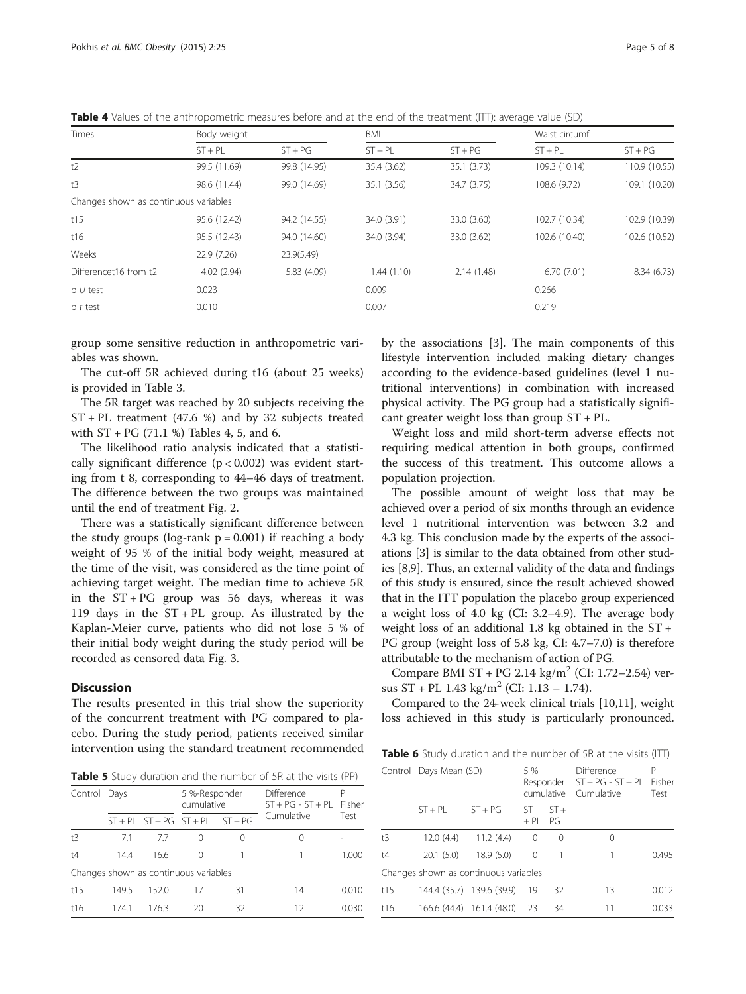Table 4 Values of the anthropometric measures before and at the end of the treatment (ITT): average value (SD)

| Times                                 | Body weight  |              | BMI         |             | Waist circumf. |               |  |
|---------------------------------------|--------------|--------------|-------------|-------------|----------------|---------------|--|
|                                       | $ST + PL$    | $ST + PG$    | $ST + PL$   | $ST + PG$   | $ST + PL$      | $ST + PG$     |  |
| t2                                    | 99.5 (11.69) | 99.8 (14.95) | 35.4 (3.62) | 35.1(3.73)  | 109.3 (10.14)  | 110.9 (10.55) |  |
| t3                                    | 98.6 (11.44) | 99.0 (14.69) | 35.1 (3.56) | 34.7 (3.75) | 108.6 (9.72)   | 109.1 (10.20) |  |
| Changes shown as continuous variables |              |              |             |             |                |               |  |
| t15                                   | 95.6 (12.42) | 94.2 (14.55) | 34.0 (3.91) | 33.0 (3.60) | 102.7 (10.34)  | 102.9 (10.39) |  |
| t16                                   | 95.5 (12.43) | 94.0 (14.60) | 34.0 (3.94) | 33.0 (3.62) | 102.6 (10.40)  | 102.6 (10.52) |  |
| Weeks                                 | 22.9(7.26)   | 23.9(5.49)   |             |             |                |               |  |
| Differencet16 from t2                 | 4.02(2.94)   | 5.83 (4.09)  | 1.44(1.10)  | 2.14(1.48)  | 6.70(7.01)     | 8.34 (6.73)   |  |
| $p U$ test                            | 0.023        |              | 0.009       |             | 0.266          |               |  |
| p t test                              | 0.010        |              | 0.007       |             | 0.219          |               |  |

group some sensitive reduction in anthropometric variables was shown.

The cut-off 5R achieved during t16 (about 25 weeks) is provided in Table [3.](#page-3-0)

The 5R target was reached by 20 subjects receiving the ST + PL treatment (47.6 %) and by 32 subjects treated with  $ST + PG$  (71.1 %) Tables 4, 5, and 6.

The likelihood ratio analysis indicated that a statistically significant difference  $(p < 0.002)$  was evident starting from t 8, corresponding to 44–46 days of treatment. The difference between the two groups was maintained until the end of treatment Fig. [2.](#page-5-0)

There was a statistically significant difference between the study groups (log-rank  $p = 0.001$ ) if reaching a body weight of 95 % of the initial body weight, measured at the time of the visit, was considered as the time point of achieving target weight. The median time to achieve 5R in the  $ST + PG$  group was 56 days, whereas it was 119 days in the ST + PL group. As illustrated by the Kaplan-Meier curve, patients who did not lose 5 % of their initial body weight during the study period will be recorded as censored data Fig. [3.](#page-6-0)

# **Discussion**

The results presented in this trial show the superiority of the concurrent treatment with PG compared to placebo. During the study period, patients received similar intervention using the standard treatment recommended by the associations [[3\]](#page-7-0). The main components of this lifestyle intervention included making dietary changes according to the evidence-based guidelines (level 1 nutritional interventions) in combination with increased physical activity. The PG group had a statistically significant greater weight loss than group ST + PL.

Weight loss and mild short-term adverse effects not requiring medical attention in both groups, confirmed the success of this treatment. This outcome allows a population projection.

The possible amount of weight loss that may be achieved over a period of six months through an evidence level 1 nutritional intervention was between 3.2 and 4.3 kg. This conclusion made by the experts of the associations [[3\]](#page-7-0) is similar to the data obtained from other studies [[8,9\]](#page-7-0). Thus, an external validity of the data and findings of this study is ensured, since the result achieved showed that in the ITT population the placebo group experienced a weight loss of 4.0 kg (CI: 3.2–4.9). The average body weight loss of an additional 1.8 kg obtained in the ST + PG group (weight loss of 5.8 kg, CI: 4.7–7.0) is therefore attributable to the mechanism of action of PG.

Compare BMI ST + PG 2.14 kg/m<sup>2</sup> (CI: 1.72–2.54) versus  $ST$  + PL 1.43 kg/m<sup>2</sup> (CI: 1.13 – 1.74).

Compared to the 24-week clinical trials [\[10,11](#page-7-0)], weight loss achieved in this study is particularly pronounced.

|  |  |  | Table 6 Study duration and the number of 5R at the visits (ITT) |  |  |  |  |  |  |  |  |
|--|--|--|-----------------------------------------------------------------|--|--|--|--|--|--|--|--|
|--|--|--|-----------------------------------------------------------------|--|--|--|--|--|--|--|--|

Table 5 Study duration and the number of 5R at the visits (PP)

| Control Days |       |        | 5 %-Responder<br>cumulative           |                  | <b>Difference</b><br>$ST + PG - ST + PL$ Fisher | P     |
|--------------|-------|--------|---------------------------------------|------------------|-------------------------------------------------|-------|
|              |       |        | $ST + PL ST + PG ST + PL ST + PG$     |                  | Cumulative                                      | Test  |
| t3           | 71    | 77     | $^{(1)}$                              | $\left( \right)$ | $\left( \right)$                                |       |
| t4           | 14.4  | 16.6   | $\left( \right)$                      |                  |                                                 | 1.000 |
|              |       |        | Changes shown as continuous variables |                  |                                                 |       |
| t15          | 149.5 | 152.0  | 17                                    | 31               | 14                                              | 0.010 |
| t16          | 174.1 | 176.3. | 20                                    | 32               | 12                                              | 0.030 |

|     | Control Days Mean (SD)                |                           | 5 %             | cumulative | Difference<br>Responder $ST + PG - ST + PL$<br>Cumulative | Р<br>Fisher<br>Test |
|-----|---------------------------------------|---------------------------|-----------------|------------|-----------------------------------------------------------|---------------------|
|     | $ST + PI$                             | $ST + PG$                 | ST.<br>$+PL$ PG | $ST +$     |                                                           |                     |
| t3  | 12.0(4.4)                             | 11.2(4.4)                 | $\overline{0}$  | $\Omega$   | Ω                                                         |                     |
| t4  | 20.1(5.0)                             | 18.9(5.0)                 | $\Omega$        | 1          |                                                           | 0.495               |
|     | Changes shown as continuous variables |                           |                 |            |                                                           |                     |
| t15 |                                       | 144.4 (35.7) 139.6 (39.9) | 19              | 32         | 13                                                        | 0.012               |
| t16 |                                       | 166.6 (44.4) 161.4 (48.0) | 23              | 34         | 11                                                        | 0.033               |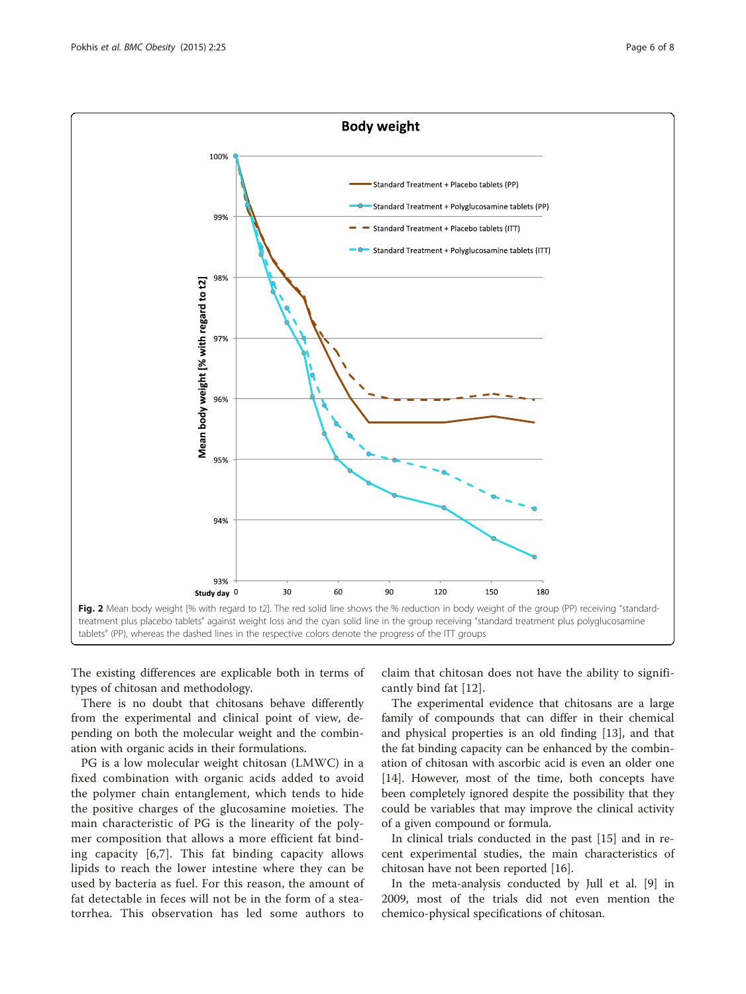<span id="page-5-0"></span>

The existing differences are explicable both in terms of types of chitosan and methodology.

There is no doubt that chitosans behave differently from the experimental and clinical point of view, depending on both the molecular weight and the combination with organic acids in their formulations.

PG is a low molecular weight chitosan (LMWC) in a fixed combination with organic acids added to avoid the polymer chain entanglement, which tends to hide the positive charges of the glucosamine moieties. The main characteristic of PG is the linearity of the polymer composition that allows a more efficient fat binding capacity [[6,7](#page-7-0)]. This fat binding capacity allows lipids to reach the lower intestine where they can be used by bacteria as fuel. For this reason, the amount of fat detectable in feces will not be in the form of a steatorrhea. This observation has led some authors to

claim that chitosan does not have the ability to significantly bind fat [[12](#page-7-0)].

The experimental evidence that chitosans are a large family of compounds that can differ in their chemical and physical properties is an old finding [[13\]](#page-7-0), and that the fat binding capacity can be enhanced by the combination of chitosan with ascorbic acid is even an older one [[14\]](#page-7-0). However, most of the time, both concepts have been completely ignored despite the possibility that they could be variables that may improve the clinical activity of a given compound or formula.

In clinical trials conducted in the past [[15\]](#page-7-0) and in recent experimental studies, the main characteristics of chitosan have not been reported [\[16\]](#page-7-0).

In the meta-analysis conducted by Jull et al. [\[9](#page-7-0)] in 2009, most of the trials did not even mention the chemico-physical specifications of chitosan.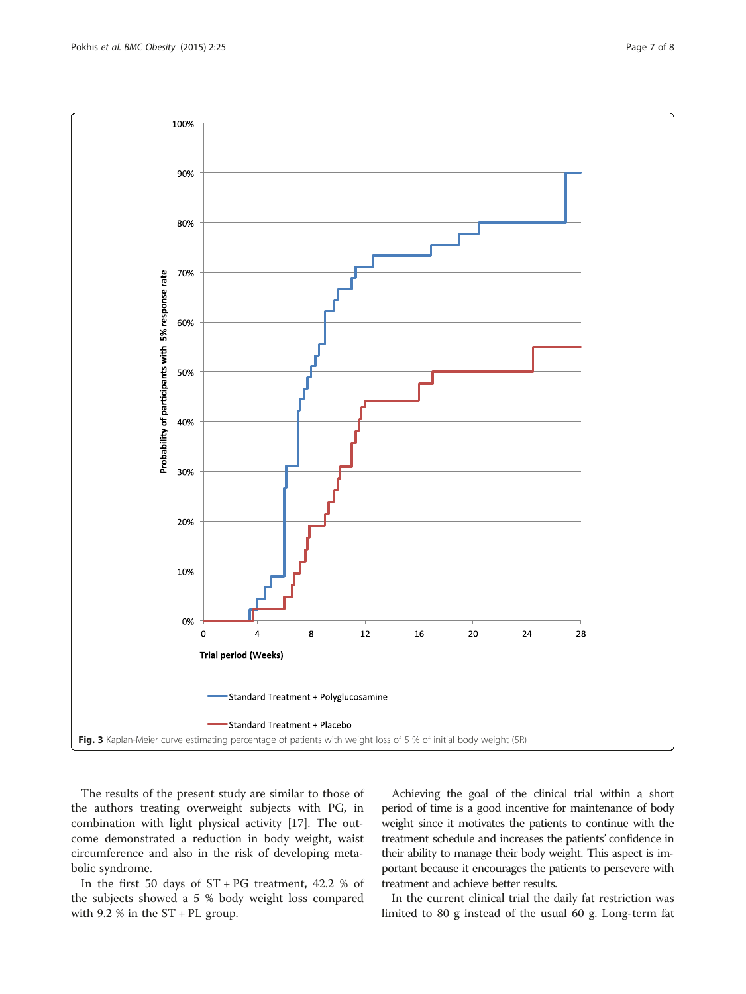<span id="page-6-0"></span>

The results of the present study are similar to those of the authors treating overweight subjects with PG, in combination with light physical activity [[17\]](#page-7-0). The outcome demonstrated a reduction in body weight, waist circumference and also in the risk of developing metabolic syndrome.

In the first 50 days of  $ST$  + PG treatment, 42.2 % of the subjects showed a 5 % body weight loss compared with 9.2 % in the ST + PL group.

Achieving the goal of the clinical trial within a short period of time is a good incentive for maintenance of body weight since it motivates the patients to continue with the treatment schedule and increases the patients' confidence in their ability to manage their body weight. This aspect is important because it encourages the patients to persevere with treatment and achieve better results.

In the current clinical trial the daily fat restriction was limited to 80 g instead of the usual 60 g. Long-term fat